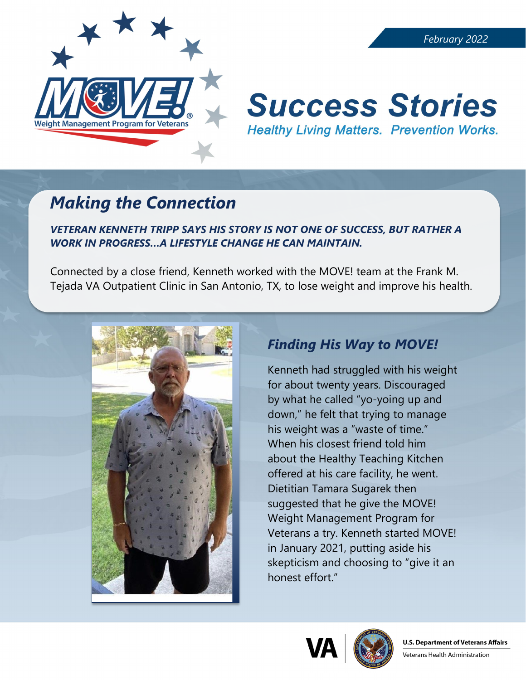

# **Success Stories Healthy Living Matters. Prevention Works.**

## *Making the Connection*

*VETERAN KENNETH TRIPP SAYS HIS STORY IS NOT ONE OF SUCCESS, BUT RATHER A WORK IN PROGRESS…A LIFESTYLE CHANGE HE CAN MAINTAIN.*

Connected by a close friend, Kenneth worked with the MOVE! team at the Frank M. Tejada VA Outpatient Clinic in San Antonio, TX, to lose weight and improve his health.



### *Finding His Way to MOVE!*

Kenneth had struggled with his weight for about twenty years. Discouraged by what he called "yo-yoing up and down," he felt that trying to manage his weight was a "waste of time." When his closest friend told him about the Healthy Teaching Kitchen offered at his care facility, he went. Dietitian Tamara Sugarek then suggested that he give the MOVE! Weight Management Program for Veterans a try. Kenneth started MOVE! in January 2021, putting aside his skepticism and choosing to "give it an honest effort."



Veterans Health Administration